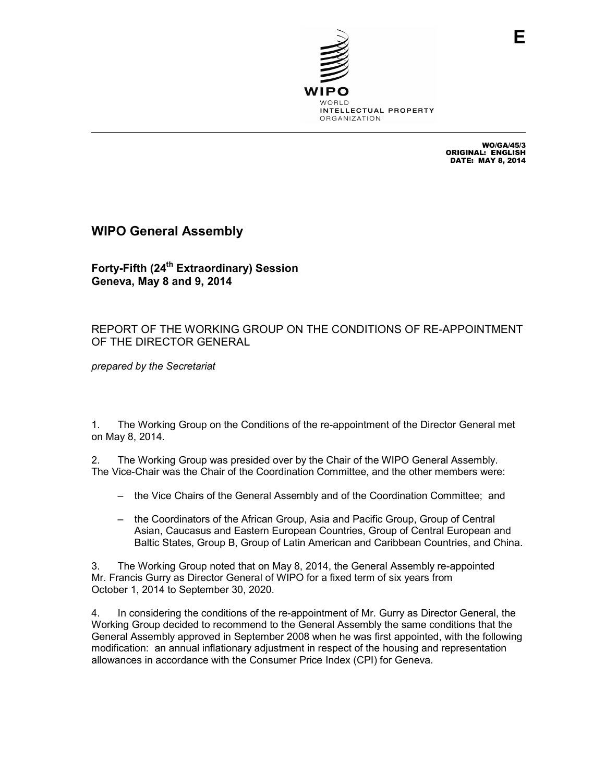

WO/GA/45/3 ORIGINAL: ENGLISH DATE: MAY 8, 2014

## **WIPO General Assembly**

**Forty-Fifth (24th Extraordinary) Session Geneva, May 8 and 9, 2014** 

## REPORT OF THE WORKING GROUP ON THE CONDITIONS OF RE-APPOINTMENT OF THE DIRECTOR GENERAL

*prepared by the Secretariat* 

1. The Working Group on the Conditions of the re-appointment of the Director General met on May 8, 2014.

2. The Working Group was presided over by the Chair of the WIPO General Assembly. The Vice-Chair was the Chair of the Coordination Committee, and the other members were:

- the Vice Chairs of the General Assembly and of the Coordination Committee; and
- the Coordinators of the African Group, Asia and Pacific Group, Group of Central Asian, Caucasus and Eastern European Countries, Group of Central European and Baltic States, Group B, Group of Latin American and Caribbean Countries, and China.

3. The Working Group noted that on May 8, 2014, the General Assembly re-appointed Mr. Francis Gurry as Director General of WIPO for a fixed term of six years from October 1, 2014 to September 30, 2020.

4. In considering the conditions of the re-appointment of Mr. Gurry as Director General, the Working Group decided to recommend to the General Assembly the same conditions that the General Assembly approved in September 2008 when he was first appointed, with the following modification: an annual inflationary adjustment in respect of the housing and representation allowances in accordance with the Consumer Price Index (CPI) for Geneva.